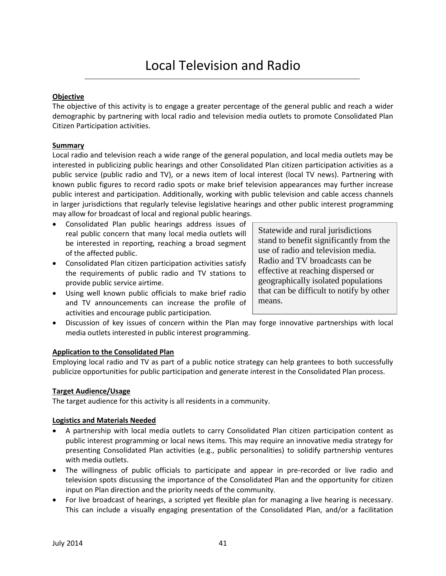## **Objective**

The objective of this activity is to engage a greater percentage of the general public and reach a wider demographic by partnering with local radio and television media outlets to promote Consolidated Plan Citizen Participation activities.

## **Summary**

Local radio and television reach a wide range of the general population, and local media outlets may be interested in publicizing public hearings and other Consolidated Plan citizen participation activities as a public service (public radio and TV), or a news item of local interest (local TV news). Partnering with known public figures to record radio spots or make brief television appearances may further increase public interest and participation. Additionally, working with public television and cable access channels in larger jurisdictions that regularly televise legislative hearings and other public interest programming may allow for broadcast of local and regional public hearings.

- Consolidated Plan public hearings address issues of real public concern that many local media outlets will be interested in reporting, reaching a broad segment of the affected public.
- Consolidated Plan citizen participation activities satisfy the requirements of public radio and TV stations to provide public service airtime.
- Using well known public officials to make brief radio and TV announcements can increase the profile of activities and encourage public participation.

Statewide and rural jurisdictions stand to benefit significantly from the use of radio and television media. Radio and TV broadcasts can be effective at reaching dispersed or geographically isolated populations that can be difficult to notify by other means.

 Discussion of key issues of concern within the Plan may forge innovative partnerships with local media outlets interested in public interest programming.

#### **Application to the Consolidated Plan**

Employing local radio and TV as part of a public notice strategy can help grantees to both successfully publicize opportunities for public participation and generate interest in the Consolidated Plan process.

#### **Target Audience/Usage**

The target audience for this activity is all residents in a community.

# **Logistics and Materials Needed**

- A partnership with local media outlets to carry Consolidated Plan citizen participation content as public interest programming or local news items. This may require an innovative media strategy for presenting Consolidated Plan activities (e.g., public personalities) to solidify partnership ventures with media outlets.
- The willingness of public officials to participate and appear in pre-recorded or live radio and television spots discussing the importance of the Consolidated Plan and the opportunity for citizen input on Plan direction and the priority needs of the community.
- For live broadcast of hearings, a scripted yet flexible plan for managing a live hearing is necessary. This can include a visually engaging presentation of the Consolidated Plan, and/or a facilitation